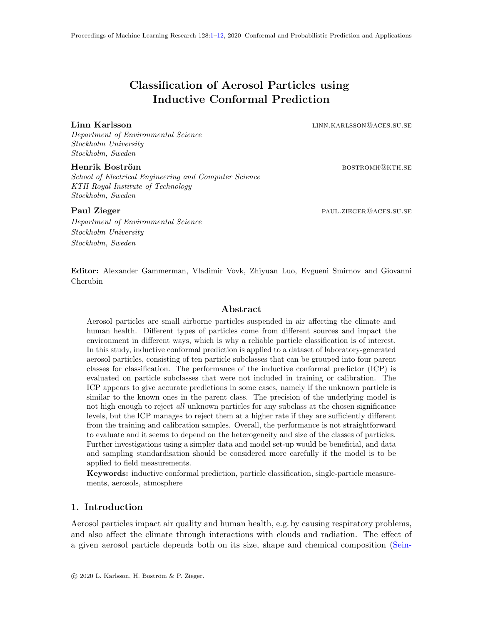# Classification of Aerosol Particles using Inductive Conformal Prediction

<span id="page-0-0"></span>Linn Karlsson linn.karlsson@aces.su.se

Department of Environmental Science Stockholm University Stockholm, Sweden

#### Henrik Boström bostrom bostromholden bostromholden bostromholden bostromholden bostromholden bostromholden bost

School of Electrical Engineering and Computer Science KTH Royal Institute of Technology Stockholm, Sweden

Paul Zieger paul.zieger paul.zieger@aces.su.se

Department of Environmental Science Stockholm University Stockholm, Sweden

Editor: Alexander Gammerman, Vladimir Vovk, Zhiyuan Luo, Evgueni Smirnov and Giovanni Cherubin

# Abstract

Aerosol particles are small airborne particles suspended in air affecting the climate and human health. Different types of particles come from different sources and impact the environment in different ways, which is why a reliable particle classification is of interest. In this study, inductive conformal prediction is applied to a dataset of laboratory-generated aerosol particles, consisting of ten particle subclasses that can be grouped into four parent classes for classification. The performance of the inductive conformal predictor (ICP) is evaluated on particle subclasses that were not included in training or calibration. The ICP appears to give accurate predictions in some cases, namely if the unknown particle is similar to the known ones in the parent class. The precision of the underlying model is not high enough to reject all unknown particles for any subclass at the chosen significance levels, but the ICP manages to reject them at a higher rate if they are sufficiently different from the training and calibration samples. Overall, the performance is not straightforward to evaluate and it seems to depend on the heterogeneity and size of the classes of particles. Further investigations using a simpler data and model set-up would be beneficial, and data and sampling standardisation should be considered more carefully if the model is to be applied to field measurements.

Keywords: inductive conformal prediction, particle classification, single-particle measurements, aerosols, atmosphere

# 1. Introduction

Aerosol particles impact air quality and human health, e.g. by causing respiratory problems, and also affect the climate through interactions with clouds and radiation. The effect of a given aerosol particle depends both on its size, shape and chemical composition [\(Sein-](#page-11-1)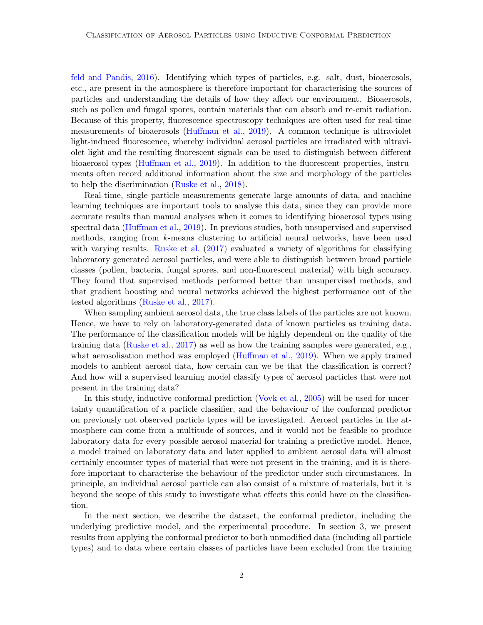[feld and Pandis,](#page-11-1) [2016\)](#page-11-1). Identifying which types of particles, e.g. salt, dust, bioaerosols, etc., are present in the atmosphere is therefore important for characterising the sources of particles and understanding the details of how they affect our environment. Bioaerosols, such as pollen and fungal spores, contain materials that can absorb and re-emit radiation. Because of this property, fluorescence spectroscopy techniques are often used for real-time measurements of bioaerosols [\(Huffman et al.,](#page-10-0) [2019\)](#page-10-0). A common technique is ultraviolet light-induced fluorescence, whereby individual aerosol particles are irradiated with ultraviolet light and the resulting fluorescent signals can be used to distinguish between different bioaerosol types [\(Huffman et al.,](#page-10-0) [2019\)](#page-10-0). In addition to the fluorescent properties, instruments often record additional information about the size and morphology of the particles to help the discrimination [\(Ruske et al.,](#page-11-2) [2018\)](#page-11-2).

Real-time, single particle measurements generate large amounts of data, and machine learning techniques are important tools to analyse this data, since they can provide more accurate results than manual analyses when it comes to identifying bioaerosol types using spectral data [\(Huffman et al.,](#page-10-0) [2019\)](#page-10-0). In previous studies, both unsupervised and supervised methods, ranging from k-means clustering to artificial neural networks, have been used with varying results. [Ruske et al.](#page-11-3) [\(2017\)](#page-11-3) evaluated a variety of algorithms for classifying laboratory generated aerosol particles, and were able to distinguish between broad particle classes (pollen, bacteria, fungal spores, and non-fluorescent material) with high accuracy. They found that supervised methods performed better than unsupervised methods, and that gradient boosting and neural networks achieved the highest performance out of the tested algorithms [\(Ruske et al.,](#page-11-3) [2017\)](#page-11-3).

When sampling ambient aerosol data, the true class labels of the particles are not known. Hence, we have to rely on laboratory-generated data of known particles as training data. The performance of the classification models will be highly dependent on the quality of the training data [\(Ruske et al.,](#page-11-3) [2017\)](#page-11-3) as well as how the training samples were generated, e.g., what aerosolisation method was employed [\(Huffman et al.,](#page-10-0) [2019\)](#page-10-0). When we apply trained models to ambient aerosol data, how certain can we be that the classification is correct? And how will a supervised learning model classify types of aerosol particles that were not present in the training data?

In this study, inductive conformal prediction [\(Vovk et al.,](#page-11-4) [2005\)](#page-11-4) will be used for uncertainty quantification of a particle classifier, and the behaviour of the conformal predictor on previously not observed particle types will be investigated. Aerosol particles in the atmosphere can come from a multitude of sources, and it would not be feasible to produce laboratory data for every possible aerosol material for training a predictive model. Hence, a model trained on laboratory data and later applied to ambient aerosol data will almost certainly encounter types of material that were not present in the training, and it is therefore important to characterise the behaviour of the predictor under such circumstances. In principle, an individual aerosol particle can also consist of a mixture of materials, but it is beyond the scope of this study to investigate what effects this could have on the classification.

In the next section, we describe the dataset, the conformal predictor, including the underlying predictive model, and the experimental procedure. In section 3, we present results from applying the conformal predictor to both unmodified data (including all particle types) and to data where certain classes of particles have been excluded from the training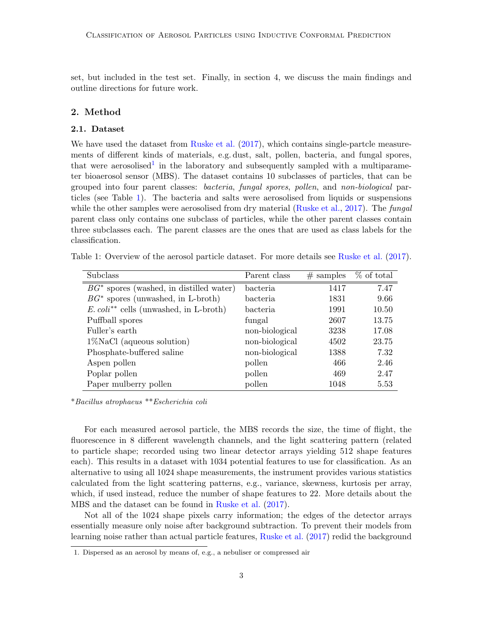set, but included in the test set. Finally, in section 4, we discuss the main findings and outline directions for future work.

# 2. Method

# 2.1. Dataset

We have used the dataset from [Ruske et al.](#page-11-3)  $(2017)$ , which contains single-partcle measurements of different kinds of materials, e.g. dust, salt, pollen, bacteria, and fungal spores, that were aerosolised<sup>[1](#page-2-0)</sup> in the laboratory and subsequently sampled with a multiparameter bioaerosol sensor (MBS). The dataset contains 10 subclasses of particles, that can be grouped into four parent classes: bacteria, fungal spores, pollen, and non-biological particles (see Table [1\)](#page-2-1). The bacteria and salts were aerosolised from liquids or suspensions while the other samples were aerosolised from dry material [\(Ruske et al.,](#page-11-3) [2017\)](#page-11-3). The *fungal* parent class only contains one subclass of particles, while the other parent classes contain three subclasses each. The parent classes are the ones that are used as class labels for the classification.

<span id="page-2-1"></span>

| Table 1: Overview of the aerosol particle dataset. For more details see Ruske et al. (2017). |  |  |  |
|----------------------------------------------------------------------------------------------|--|--|--|
|----------------------------------------------------------------------------------------------|--|--|--|

| Subclass                                             | Parent class   | $#$ samples | % of total |  |
|------------------------------------------------------|----------------|-------------|------------|--|
| $BG^*$ spores (washed, in distilled water)           | bacteria       | 1417        | 7.47       |  |
| $BG^*$ spores (unwashed, in L-broth)                 | bacteria       | 1831        | 9.66       |  |
| $E.$ coli <sup>**</sup> cells (unwashed, in L-broth) | bacteria       | 1991        | 10.50      |  |
| Puffball spores                                      | fungal         | 2607        | 13.75      |  |
| Fuller's earth                                       | non-biological | 3238        | 17.08      |  |
| $1\%$ NaCl (aqueous solution)                        | non-biological | 4502        | 23.75      |  |
| Phosphate-buffered saline                            | non-biological | 1388        | 7.32       |  |
| Aspen pollen                                         | pollen         | 466         | 2.46       |  |
| Poplar pollen                                        | pollen         | 469         | 2.47       |  |
| Paper mulberry pollen                                | pollen         | 1048        | 5.53       |  |

\*Bacillus atrophaeus \*\*Escherichia coli

For each measured aerosol particle, the MBS records the size, the time of flight, the fluorescence in 8 different wavelength channels, and the light scattering pattern (related to particle shape; recorded using two linear detector arrays yielding 512 shape features each). This results in a dataset with 1034 potential features to use for classification. As an alternative to using all 1024 shape measurements, the instrument provides various statistics calculated from the light scattering patterns, e.g., variance, skewness, kurtosis per array, which, if used instead, reduce the number of shape features to 22. More details about the MBS and the dataset can be found in [Ruske et al.](#page-11-3) [\(2017\)](#page-11-3).

Not all of the 1024 shape pixels carry information; the edges of the detector arrays essentially measure only noise after background subtraction. To prevent their models from learning noise rather than actual particle features, [Ruske et al.](#page-11-3) [\(2017\)](#page-11-3) redid the background

<span id="page-2-0"></span><sup>1.</sup> Dispersed as an aerosol by means of, e.g., a nebuliser or compressed air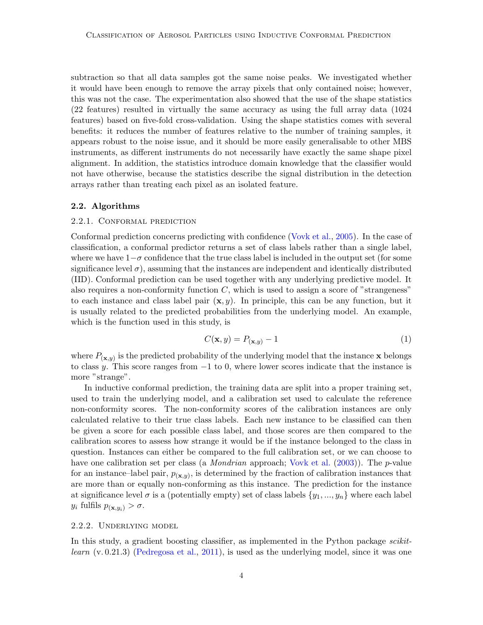subtraction so that all data samples got the same noise peaks. We investigated whether it would have been enough to remove the array pixels that only contained noise; however, this was not the case. The experimentation also showed that the use of the shape statistics (22 features) resulted in virtually the same accuracy as using the full array data (1024 features) based on five-fold cross-validation. Using the shape statistics comes with several benefits: it reduces the number of features relative to the number of training samples, it appears robust to the noise issue, and it should be more easily generalisable to other MBS instruments, as different instruments do not necessarily have exactly the same shape pixel alignment. In addition, the statistics introduce domain knowledge that the classifier would not have otherwise, because the statistics describe the signal distribution in the detection arrays rather than treating each pixel as an isolated feature.

#### 2.2. Algorithms

### 2.2.1. Conformal prediction

Conformal prediction concerns predicting with confidence [\(Vovk et al.,](#page-11-4) [2005\)](#page-11-4). In the case of classification, a conformal predictor returns a set of class labels rather than a single label, where we have  $1-\sigma$  confidence that the true class label is included in the output set (for some significance level  $\sigma$ ), assuming that the instances are independent and identically distributed (IID). Conformal prediction can be used together with any underlying predictive model. It also requires a non-conformity function  $C$ , which is used to assign a score of "strangeness" to each instance and class label pair  $(x, y)$ . In principle, this can be any function, but it is usually related to the predicted probabilities from the underlying model. An example, which is the function used in this study, is

$$
C(\mathbf{x}, y) = P_{(\mathbf{x}, y)} - 1\tag{1}
$$

where  $P_{(\mathbf{x},y)}$  is the predicted probability of the underlying model that the instance x belongs to class y. This score ranges from  $-1$  to 0, where lower scores indicate that the instance is more "strange".

In inductive conformal prediction, the training data are split into a proper training set, used to train the underlying model, and a calibration set used to calculate the reference non-conformity scores. The non-conformity scores of the calibration instances are only calculated relative to their true class labels. Each new instance to be classified can then be given a score for each possible class label, and those scores are then compared to the calibration scores to assess how strange it would be if the instance belonged to the class in question. Instances can either be compared to the full calibration set, or we can choose to have one calibration set per class (a *Mondrian* approach; [Vovk et al.](#page-11-5) [\(2003\)](#page-11-5)). The *p*-value for an instance-label pair,  $p_{(\mathbf{x},y)}$ , is determined by the fraction of calibration instances that are more than or equally non-conforming as this instance. The prediction for the instance at significance level  $\sigma$  is a (potentially empty) set of class labels  $\{y_1, ..., y_n\}$  where each label  $y_i$  fulfils  $p_{(\mathbf{x},y_i)} > \sigma$ .

### 2.2.2. Underlying model

In this study, a gradient boosting classifier, as implemented in the Python package *scikitlearn*  $(v. 0.21.3)$  [\(Pedregosa et al.,](#page-11-6) [2011\)](#page-11-6), is used as the underlying model, since it was one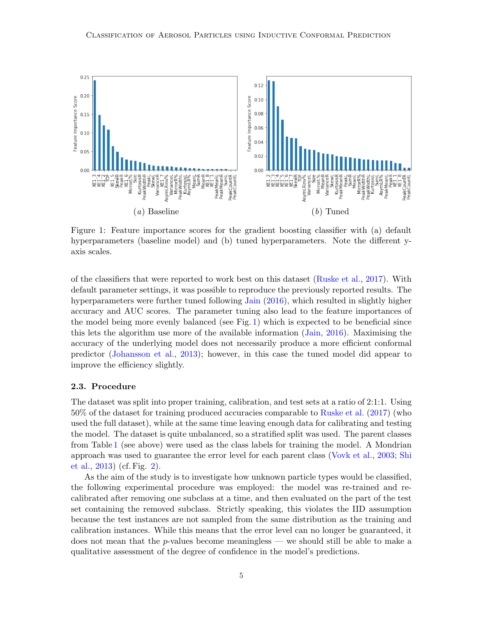<span id="page-4-0"></span>

Figure 1: Feature importance scores for the gradient boosting classifier with (a) default hyperparameters (baseline model) and (b) tuned hyperparameters. Note the different yaxis scales.

of the classifiers that were reported to work best on this dataset [\(Ruske et al.,](#page-11-3) [2017\)](#page-11-3). With default parameter settings, it was possible to reproduce the previously reported results. The hyperparameters were further tuned following [Jain](#page-10-1) [\(2016\)](#page-10-1), which resulted in slightly higher accuracy and AUC scores. The parameter tuning also lead to the feature importances of the model being more evenly balanced (see Fig. [1\)](#page-4-0) which is expected to be beneficial since this lets the algorithm use more of the available information [\(Jain,](#page-10-1) [2016\)](#page-10-1). Maximising the accuracy of the underlying model does not necessarily produce a more efficient conformal predictor [\(Johansson et al.,](#page-11-7) [2013\)](#page-11-7); however, in this case the tuned model did appear to improve the efficiency slightly.

#### 2.3. Procedure

The dataset was split into proper training, calibration, and test sets at a ratio of 2:1:1. Using 50% of the dataset for training produced accuracies comparable to [Ruske et al.](#page-11-3) [\(2017\)](#page-11-3) (who used the full dataset), while at the same time leaving enough data for calibrating and testing the model. The dataset is quite unbalanced, so a stratified split was used. The parent classes from Table [1](#page-2-1) (see above) were used as the class labels for training the model. A Mondrian approach was used to guarantee the error level for each parent class [\(Vovk et al.,](#page-11-5) [2003;](#page-11-5) [Shi](#page-11-8) [et al.,](#page-11-8) [2013\)](#page-11-8) (cf. Fig. [2\)](#page-5-0).

As the aim of the study is to investigate how unknown particle types would be classified, the following experimental procedure was employed: the model was re-trained and recalibrated after removing one subclass at a time, and then evaluated on the part of the test set containing the removed subclass. Strictly speaking, this violates the IID assumption because the test instances are not sampled from the same distribution as the training and calibration instances. While this means that the error level can no longer be guaranteed, it does not mean that the  $p$ -values become meaningless — we should still be able to make a qualitative assessment of the degree of confidence in the model's predictions.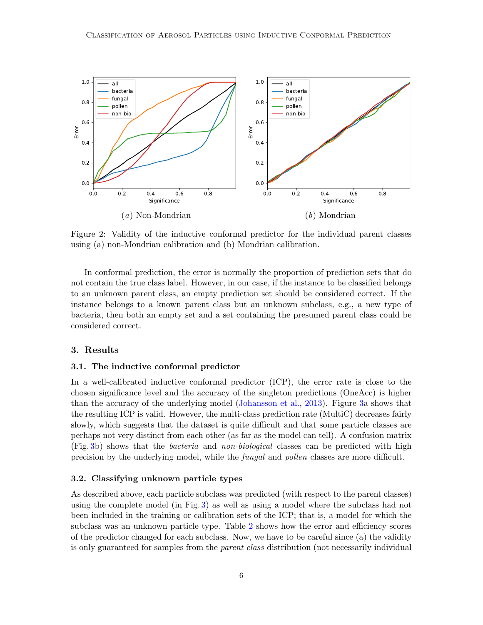<span id="page-5-0"></span>

Figure 2: Validity of the inductive conformal predictor for the individual parent classes using (a) non-Mondrian calibration and (b) Mondrian calibration.

In conformal prediction, the error is normally the proportion of prediction sets that do not contain the true class label. However, in our case, if the instance to be classified belongs to an unknown parent class, an empty prediction set should be considered correct. If the instance belongs to a known parent class but an unknown subclass, e.g., a new type of bacteria, then both an empty set and a set containing the presumed parent class could be considered correct.

# 3. Results

#### 3.1. The inductive conformal predictor

In a well-calibrated inductive conformal predictor (ICP), the error rate is close to the chosen significance level and the accuracy of the singleton predictions (OneAcc) is higher than the accuracy of the underlying model [\(Johansson et al.,](#page-11-7) [2013\)](#page-11-7). Figure [3a](#page-6-0) shows that the resulting ICP is valid. However, the multi-class prediction rate (MultiC) decreases fairly slowly, which suggests that the dataset is quite difficult and that some particle classes are perhaps not very distinct from each other (as far as the model can tell). A confusion matrix (Fig. [3b](#page-6-0)) shows that the bacteria and non-biological classes can be predicted with high precision by the underlying model, while the fungal and pollen classes are more difficult.

### 3.2. Classifying unknown particle types

As described above, each particle subclass was predicted (with respect to the parent classes) using the complete model (in Fig. [3\)](#page-6-0) as well as using a model where the subclass had not been included in the training or calibration sets of the ICP; that is, a model for which the subclass was an unknown particle type. Table [2](#page-7-0) shows how the error and efficiency scores of the predictor changed for each subclass. Now, we have to be careful since (a) the validity is only guaranteed for samples from the *parent class* distribution (not necessarily individual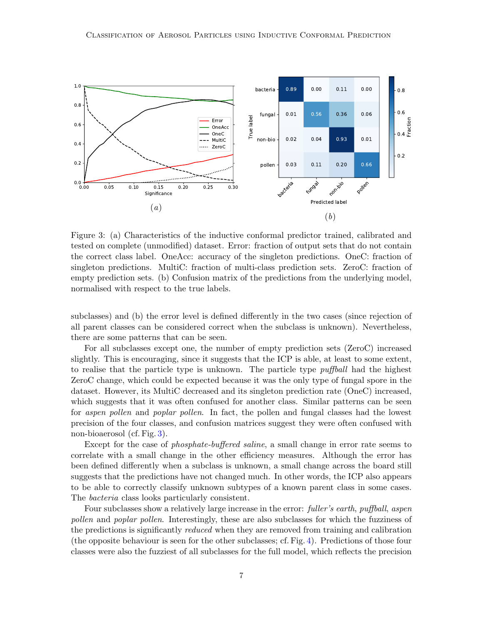<span id="page-6-0"></span>

Figure 3: (a) Characteristics of the inductive conformal predictor trained, calibrated and tested on complete (unmodified) dataset. Error: fraction of output sets that do not contain the correct class label. OneAcc: accuracy of the singleton predictions. OneC: fraction of singleton predictions. MultiC: fraction of multi-class prediction sets. ZeroC: fraction of empty prediction sets. (b) Confusion matrix of the predictions from the underlying model, normalised with respect to the true labels.

subclasses) and (b) the error level is defined differently in the two cases (since rejection of all parent classes can be considered correct when the subclass is unknown). Nevertheless, there are some patterns that can be seen.

For all subclasses except one, the number of empty prediction sets (ZeroC) increased slightly. This is encouraging, since it suggests that the ICP is able, at least to some extent, to realise that the particle type is unknown. The particle type *puffball* had the highest ZeroC change, which could be expected because it was the only type of fungal spore in the dataset. However, its MultiC decreased and its singleton prediction rate (OneC) increased, which suggests that it was often confused for another class. Similar patterns can be seen for *aspen pollen* and *poplar pollen*. In fact, the pollen and fungal classes had the lowest precision of the four classes, and confusion matrices suggest they were often confused with non-bioaerosol (cf. Fig. [3\)](#page-6-0).

Except for the case of *phosphate-buffered saline*, a small change in error rate seems to correlate with a small change in the other efficiency measures. Although the error has been defined differently when a subclass is unknown, a small change across the board still suggests that the predictions have not changed much. In other words, the ICP also appears to be able to correctly classify unknown subtypes of a known parent class in some cases. The bacteria class looks particularly consistent.

Four subclasses show a relatively large increase in the error: *fuller's earth, puffball, aspen* pollen and poplar pollen. Interestingly, these are also subclasses for which the fuzziness of the predictions is significantly *reduced* when they are removed from training and calibration (the opposite behaviour is seen for the other subclasses; cf. Fig. [4\)](#page-7-1). Predictions of those four classes were also the fuzziest of all subclasses for the full model, which reflects the precision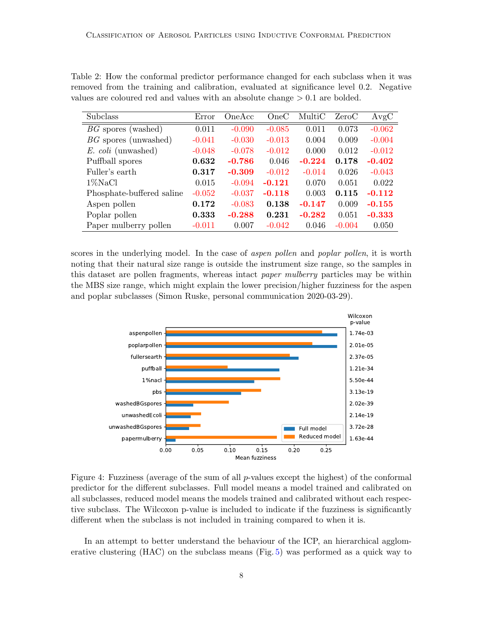|                           |          |          | $\cdot$  |          |       |          |
|---------------------------|----------|----------|----------|----------|-------|----------|
| Subclass                  | Error    | OneAcc   | OneC     | MultiC   | ZeroC | AvgC     |
| $BG$ spores (washed)      | 0.011    | $-0.090$ | $-0.085$ | 0.011    | 0.073 | $-0.062$ |
| $BG$ spores (unwashed)    | $-0.041$ | $-0.030$ | $-0.013$ | 0.004    | 0.009 | $-0.004$ |
| E. coli (unwashed)        | $-0.048$ | $-0.078$ | $-0.012$ | 0.000    | 0.012 | $-0.012$ |
| Puffball spores           | 0.632    | $-0.786$ | 0.046    | $-0.224$ | 0.178 | $-0.402$ |
| Fuller's earth            | 0.317    | $-0.309$ | $-0.012$ | $-0.014$ | 0.026 | $-0.043$ |
| $1\%$ NaCl                | 0.015    | $-0.094$ | $-0.121$ | 0.070    | 0.051 | 0.022    |
| Phosphate-buffered saline | $-0.052$ | $-0.037$ | $-0.118$ | 0.003    | 0.115 | $-0.112$ |
| Aspen pollen              | 0.172    | $-0.083$ | 0.138    | $-0.147$ | 0.009 | $-0.155$ |
| Poplar pollen             | 0.333    | $-0.288$ | 0.231    | $-0.282$ | 0.051 | $-0.333$ |

<span id="page-7-0"></span>Table 2: How the conformal predictor performance changed for each subclass when it was removed from the training and calibration, evaluated at significance level 0.2. Negative values are coloured red and values with an absolute change > 0.1 are bolded.

scores in the underlying model. In the case of *aspen pollen* and *poplar pollen*, it is worth noting that their natural size range is outside the instrument size range, so the samples in this dataset are pollen fragments, whereas intact paper mulberry particles may be within the MBS size range, which might explain the lower precision/higher fuzziness for the aspen and poplar subclasses (Simon Ruske, personal communication 2020-03-29).

Paper mulberry pollen  $-0.011$  0.007  $-0.042$  0.046  $-0.004$  0.050

<span id="page-7-1"></span>

Figure 4: Fuzziness (average of the sum of all  $p$ -values except the highest) of the conformal predictor for the different subclasses. Full model means a model trained and calibrated on all subclasses, reduced model means the models trained and calibrated without each respective subclass. The Wilcoxon p-value is included to indicate if the fuzziness is significantly different when the subclass is not included in training compared to when it is.

In an attempt to better understand the behaviour of the ICP, an hierarchical agglomerative clustering (HAC) on the subclass means (Fig. [5\)](#page-8-0) was performed as a quick way to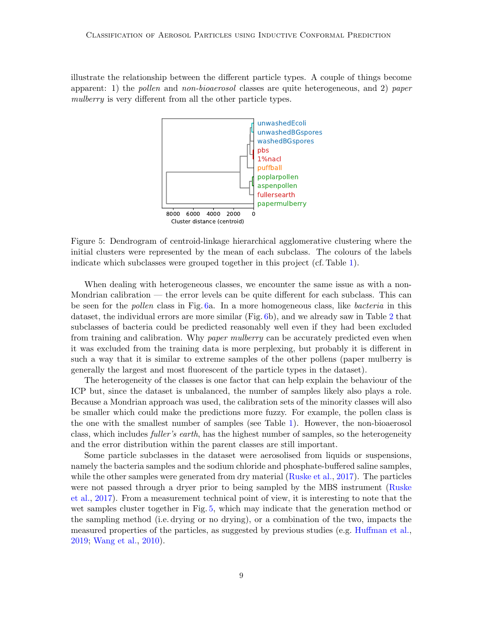<span id="page-8-0"></span>illustrate the relationship between the different particle types. A couple of things become apparent: 1) the *pollen* and *non-bioaerosol* classes are quite heterogeneous, and 2) paper mulberry is very different from all the other particle types.



Figure 5: Dendrogram of centroid-linkage hierarchical agglomerative clustering where the initial clusters were represented by the mean of each subclass. The colours of the labels indicate which subclasses were grouped together in this project (cf. Table [1\)](#page-2-1).

When dealing with heterogeneous classes, we encounter the same issue as with a non-Mondrian calibration — the error levels can be quite different for each subclass. This can be seen for the pollen class in Fig. [6a](#page-9-0). In a more homogeneous class, like bacteria in this dataset, the individual errors are more similar (Fig. [6b](#page-9-0)), and we already saw in Table [2](#page-7-0) that subclasses of bacteria could be predicted reasonably well even if they had been excluded from training and calibration. Why paper mulberry can be accurately predicted even when it was excluded from the training data is more perplexing, but probably it is different in such a way that it is similar to extreme samples of the other pollens (paper mulberry is generally the largest and most fluorescent of the particle types in the dataset).

The heterogeneity of the classes is one factor that can help explain the behaviour of the ICP but, since the dataset is unbalanced, the number of samples likely also plays a role. Because a Mondrian approach was used, the calibration sets of the minority classes will also be smaller which could make the predictions more fuzzy. For example, the pollen class is the one with the smallest number of samples (see Table [1\)](#page-2-1). However, the non-bioaerosol class, which includes *fuller's earth*, has the highest number of samples, so the heterogeneity and the error distribution within the parent classes are still important.

Some particle subclasses in the dataset were aerosolised from liquids or suspensions, namely the bacteria samples and the sodium chloride and phosphate-buffered saline samples, while the other samples were generated from dry material [\(Ruske et al.,](#page-11-3) [2017\)](#page-11-3). The particles were not passed through a dryer prior to being sampled by the MBS instrument [\(Ruske](#page-11-3) [et al.,](#page-11-3) [2017\)](#page-11-3). From a measurement technical point of view, it is interesting to note that the wet samples cluster together in Fig. [5,](#page-8-0) which may indicate that the generation method or the sampling method (i.e. drying or no drying), or a combination of the two, impacts the measured properties of the particles, as suggested by previous studies (e.g. [Huffman et al.,](#page-10-0) [2019;](#page-10-0) [Wang et al.,](#page-11-9) [2010\)](#page-11-9).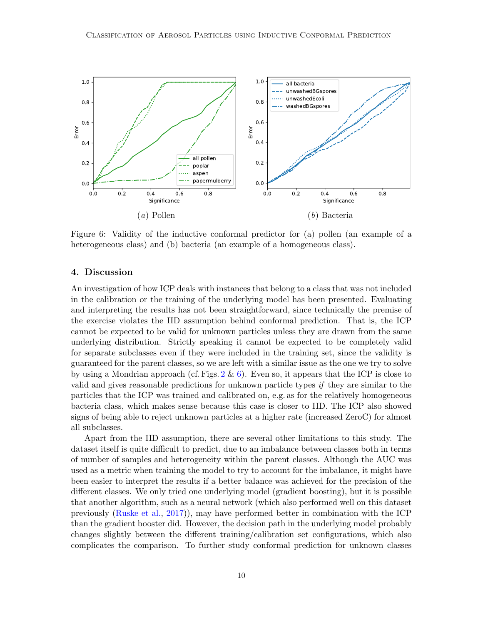<span id="page-9-0"></span>

Figure 6: Validity of the inductive conformal predictor for (a) pollen (an example of a heterogeneous class) and (b) bacteria (an example of a homogeneous class).

# 4. Discussion

An investigation of how ICP deals with instances that belong to a class that was not included in the calibration or the training of the underlying model has been presented. Evaluating and interpreting the results has not been straightforward, since technically the premise of the exercise violates the IID assumption behind conformal prediction. That is, the ICP cannot be expected to be valid for unknown particles unless they are drawn from the same underlying distribution. Strictly speaking it cannot be expected to be completely valid for separate subclasses even if they were included in the training set, since the validity is guaranteed for the parent classes, so we are left with a similar issue as the one we try to solve by using a Mondrian approach (cf. Figs.  $2 \& 6$  $2 \& 6$ ). Even so, it appears that the ICP is close to valid and gives reasonable predictions for unknown particle types if they are similar to the particles that the ICP was trained and calibrated on, e.g. as for the relatively homogeneous bacteria class, which makes sense because this case is closer to IID. The ICP also showed signs of being able to reject unknown particles at a higher rate (increased ZeroC) for almost all subclasses.

Apart from the IID assumption, there are several other limitations to this study. The dataset itself is quite difficult to predict, due to an imbalance between classes both in terms of number of samples and heterogeneity within the parent classes. Although the AUC was used as a metric when training the model to try to account for the imbalance, it might have been easier to interpret the results if a better balance was achieved for the precision of the different classes. We only tried one underlying model (gradient boosting), but it is possible that another algorithm, such as a neural network (which also performed well on this dataset previously [\(Ruske et al.,](#page-11-3) [2017\)](#page-11-3)), may have performed better in combination with the ICP than the gradient booster did. However, the decision path in the underlying model probably changes slightly between the different training/calibration set configurations, which also complicates the comparison. To further study conformal prediction for unknown classes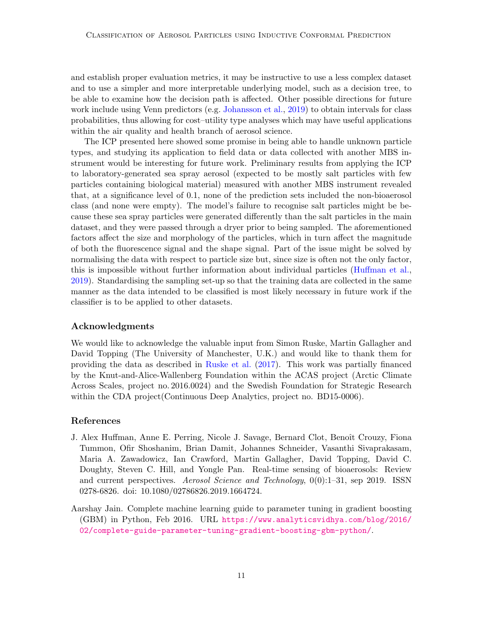and establish proper evaluation metrics, it may be instructive to use a less complex dataset and to use a simpler and more interpretable underlying model, such as a decision tree, to be able to examine how the decision path is affected. Other possible directions for future work include using Venn predictors (e.g. [Johansson et al.,](#page-11-10) [2019\)](#page-11-10) to obtain intervals for class probabilities, thus allowing for cost–utility type analyses which may have useful applications within the air quality and health branch of aerosol science.

The ICP presented here showed some promise in being able to handle unknown particle types, and studying its application to field data or data collected with another MBS instrument would be interesting for future work. Preliminary results from applying the ICP to laboratory-generated sea spray aerosol (expected to be mostly salt particles with few particles containing biological material) measured with another MBS instrument revealed that, at a significance level of 0.1, none of the prediction sets included the non-bioaerosol class (and none were empty). The model's failure to recognise salt particles might be because these sea spray particles were generated differently than the salt particles in the main dataset, and they were passed through a dryer prior to being sampled. The aforementioned factors affect the size and morphology of the particles, which in turn affect the magnitude of both the fluorescence signal and the shape signal. Part of the issue might be solved by normalising the data with respect to particle size but, since size is often not the only factor, this is impossible without further information about individual particles [\(Huffman et al.,](#page-10-0) [2019\)](#page-10-0). Standardising the sampling set-up so that the training data are collected in the same manner as the data intended to be classified is most likely necessary in future work if the classifier is to be applied to other datasets.

# Acknowledgments

We would like to acknowledge the valuable input from Simon Ruske, Martin Gallagher and David Topping (The University of Manchester, U.K.) and would like to thank them for providing the data as described in [Ruske et al.](#page-11-3) [\(2017\)](#page-11-3). This work was partially financed by the Knut-and-Alice-Wallenberg Foundation within the ACAS project (Arctic Climate Across Scales, project no. 2016.0024) and the Swedish Foundation for Strategic Research within the CDA project (Continuous Deep Analytics, project no. BD15-0006).

# References

- <span id="page-10-0"></span>J. Alex Huffman, Anne E. Perring, Nicole J. Savage, Bernard Clot, Benoît Crouzy, Fiona Tummon, Ofir Shoshanim, Brian Damit, Johannes Schneider, Vasanthi Sivaprakasam, Maria A. Zawadowicz, Ian Crawford, Martin Gallagher, David Topping, David C. Doughty, Steven C. Hill, and Yongle Pan. Real-time sensing of bioaerosols: Review and current perspectives. Aerosol Science and Technology, 0(0):1–31, sep 2019. ISSN 0278-6826. doi: 10.1080/02786826.2019.1664724.
- <span id="page-10-1"></span>Aarshay Jain. Complete machine learning guide to parameter tuning in gradient boosting (GBM) in Python, Feb 2016. URL [https://www.analyticsvidhya.com/blog/2016/](https://www.analyticsvidhya.com/blog/2016/02/complete-guide-parameter-tuning-gradient-boosting-gbm-python/) [02/complete-guide-parameter-tuning-gradient-boosting-gbm-python/](https://www.analyticsvidhya.com/blog/2016/02/complete-guide-parameter-tuning-gradient-boosting-gbm-python/).